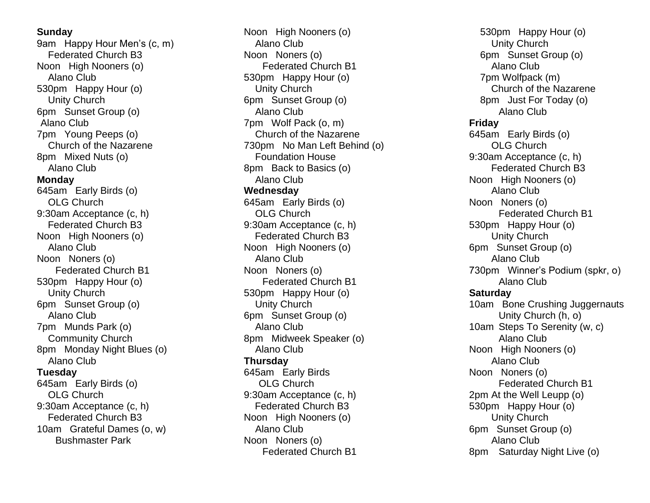#### **Sunday**

9am Happy Hour Men's (c, m) Federated Church B3 Noon High Nooners (o) Alano Club 530pm Happy Hour (o) Unity Church 6pm Sunset Group (o) Alano Club 7pm Young Peeps (o) Church of the Nazarene 8pm Mixed Nuts (o) Alano Club **Monday** 645am Early Birds (o) OLG Church 9:30am Acceptance (c, h) Federated Church B3 Noon High Nooners (o) Alano Club Noon Noners (o) Federated Church B1 530pm Happy Hour (o) Unity Church 6pm Sunset Group (o) Alano Club 7pm Munds Park (o) Community Church 8pm Monday Night Blues (o) Alano Club **Tuesday** 645am Early Birds (o) OLG Church 9:30am Acceptance (c, h) Federated Church B3 10am Grateful Dames (o, w) Bushmaster Park

Noon High Nooners (o) Alano Club Noon Noners (o) Federated Church B1 530pm Happy Hour (o) Unity Church 6pm Sunset Group (o) Alano Club 7pm Wolf Pack (o, m) Church of the Nazarene 730pm No Man Left Behind (o) Foundation House 8pm Back to Basics (o) Alano Club **Wednesday** 645am Early Birds (o) OLG Church 9:30am Acceptance (c, h) Federated Church B3 Noon High Nooners (o) Alano Club Noon Noners (o) Federated Church B1 530pm Happy Hour (o) Unity Church 6pm Sunset Group (o) Alano Club 8pm Midweek Speaker (o) Alano Club **Thursday** 645am Early Birds OLG Church 9:30am Acceptance (c, h) Federated Church B3 Noon High Nooners (o) Alano Club Noon Noners (o) Federated Church B1

530pm Happy Hour (o) Unity Church 6pm Sunset Group (o) Alano Club 7pm Wolfpack (m) Church of the Nazarene 8pm Just For Today (o) Alano Club **Friday** 645am Early Birds (o) OLG Church 9:30am Acceptance (c, h) Federated Church B3 Noon High Nooners (o) Alano Club Noon Noners (o) Federated Church B1 530pm Happy Hour (o) Unity Church 6pm Sunset Group (o) Alano Club 730pm Winner's Podium (spkr, o) Alano Club **Saturday** 10am Bone Crushing Juggernauts Unity Church (h, o) 10am Steps To Serenity (w, c) Alano Club Noon High Nooners (o) Alano Club Noon Noners (o) Federated Church B1 2pm At the Well Leupp (o) 530pm Happy Hour (o) Unity Church 6pm Sunset Group (o) Alano Club 8pm Saturday Night Live (o)